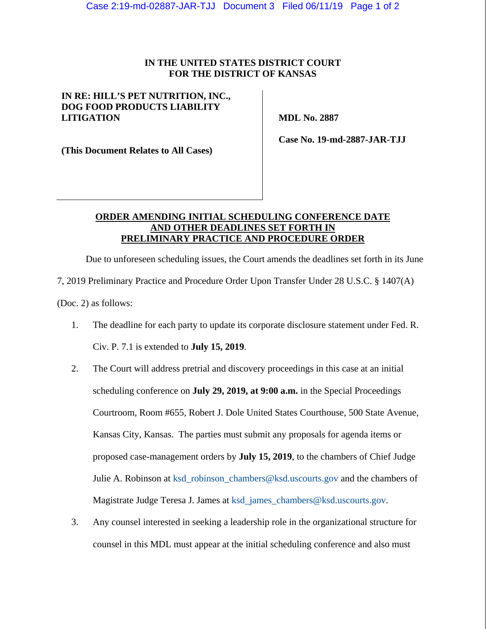## **IN THE UNITED STATES DISTRICT COURT FOR THE DISTRICT OF KANSAS**

## **IN RE: HILL'S PET NUTRITION, INC., DOG FOOD PRODUCTS LIABILITY LITIGATION**

 **MDL No. 2887** 

**(This Document Relates to All Cases)** 

 **Case No. 19-md-2887-JAR-TJJ** 

## **ORDER AMENDING INITIAL SCHEDULING CONFERENCE DATE AND OTHER DEADLINES SET FORTH IN PRELIMINARY PRACTICE AND PROCEDURE ORDER**

Due to unforeseen scheduling issues, the Court amends the deadlines set forth in its June 7, 2019 Preliminary Practice and Procedure Order Upon Transfer Under 28 U.S.C. § 1407(A) (Doc. 2) as follows:

- 1. The deadline for each party to update its corporate disclosure statement under Fed. R. Civ. P. 7.1 is extended to **July 15, 2019**.
- 2. The Court will address pretrial and discovery proceedings in this case at an initial scheduling conference on **July 29, 2019, at 9:00 a.m.** in the Special Proceedings Courtroom, Room #655, Robert J. Dole United States Courthouse, 500 State Avenue, Kansas City, Kansas. The parties must submit any proposals for agenda items or proposed case-management orders by **July 15, 2019**, to the chambers of Chief Judge Julie A. Robinson at ksd\_robinson\_chambers@ksd.uscourts.gov and the chambers of Magistrate Judge Teresa J. James at ksd\_james\_chambers@ksd.uscourts.gov.
- 3. Any counsel interested in seeking a leadership role in the organizational structure for counsel in this MDL must appear at the initial scheduling conference and also must